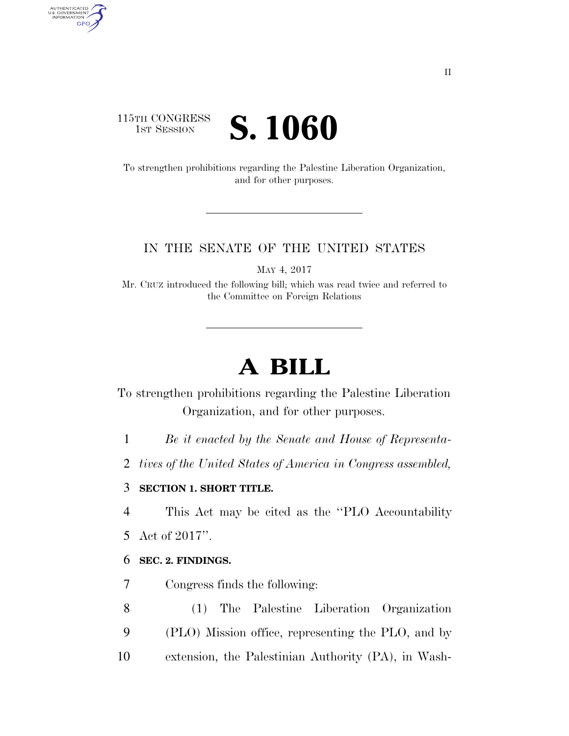# 115TH CONGRESS **IST SESSION S. 1060**

AUTHENTICATED<br>U.S. GOVERNMENT<br>INFORMATION

**GPO** 

To strengthen prohibitions regarding the Palestine Liberation Organization, and for other purposes.

## IN THE SENATE OF THE UNITED STATES

MAY 4, 2017

Mr. CRUZ introduced the following bill; which was read twice and referred to the Committee on Foreign Relations

# **A BILL**

To strengthen prohibitions regarding the Palestine Liberation Organization, and for other purposes.

1 *Be it enacted by the Senate and House of Representa-*

2 *tives of the United States of America in Congress assembled,* 

## 3 **SECTION 1. SHORT TITLE.**

4 This Act may be cited as the ''PLO Accountability

5 Act of 2017''.

#### 6 **SEC. 2. FINDINGS.**

7 Congress finds the following:

8 (1) The Palestine Liberation Organization 9 (PLO) Mission office, representing the PLO, and by

10 extension, the Palestinian Authority (PA), in Wash-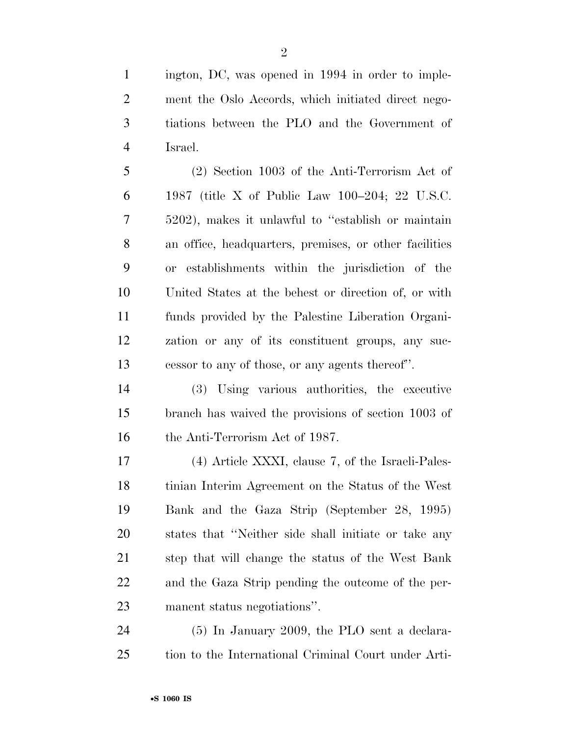ington, DC, was opened in 1994 in order to imple- ment the Oslo Accords, which initiated direct nego- tiations between the PLO and the Government of Israel.

 (2) Section 1003 of the Anti-Terrorism Act of 1987 (title X of Public Law 100–204; 22 U.S.C. 5202), makes it unlawful to ''establish or maintain an office, headquarters, premises, or other facilities or establishments within the jurisdiction of the United States at the behest or direction of, or with funds provided by the Palestine Liberation Organi- zation or any of its constituent groups, any suc-cessor to any of those, or any agents thereof''.

 (3) Using various authorities, the executive branch has waived the provisions of section 1003 of 16 the Anti-Terrorism Act of 1987.

 (4) Article XXXI, clause 7, of the Israeli-Pales- tinian Interim Agreement on the Status of the West Bank and the Gaza Strip (September 28, 1995) states that ''Neither side shall initiate or take any step that will change the status of the West Bank and the Gaza Strip pending the outcome of the per-manent status negotiations''.

 (5) In January 2009, the PLO sent a declara-tion to the International Criminal Court under Arti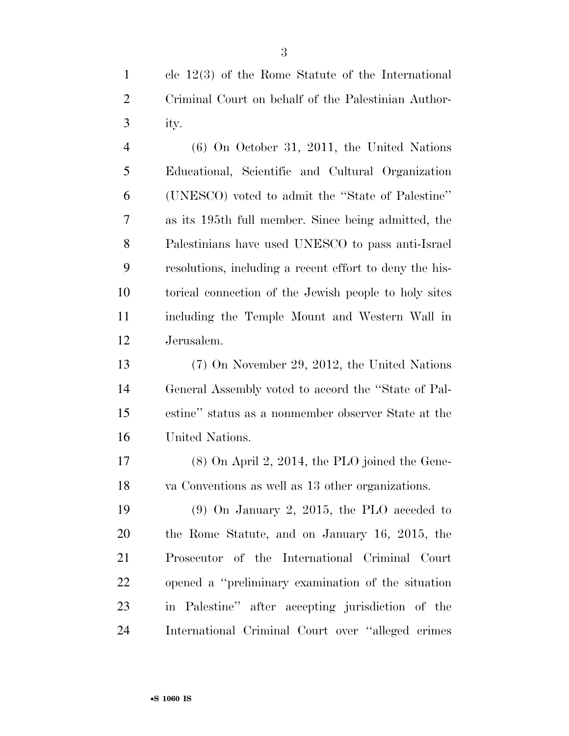cle 12(3) of the Rome Statute of the International Criminal Court on behalf of the Palestinian Author-ity.

 (6) On October 31, 2011, the United Nations Educational, Scientific and Cultural Organization (UNESCO) voted to admit the ''State of Palestine'' as its 195th full member. Since being admitted, the Palestinians have used UNESCO to pass anti-Israel resolutions, including a recent effort to deny the his- torical connection of the Jewish people to holy sites including the Temple Mount and Western Wall in Jerusalem.

 (7) On November 29, 2012, the United Nations General Assembly voted to accord the ''State of Pal- estine'' status as a nonmember observer State at the United Nations.

 (8) On April 2, 2014, the PLO joined the Gene-va Conventions as well as 13 other organizations.

 (9) On January 2, 2015, the PLO acceded to the Rome Statute, and on January 16, 2015, the Prosecutor of the International Criminal Court opened a ''preliminary examination of the situation in Palestine'' after accepting jurisdiction of the International Criminal Court over ''alleged crimes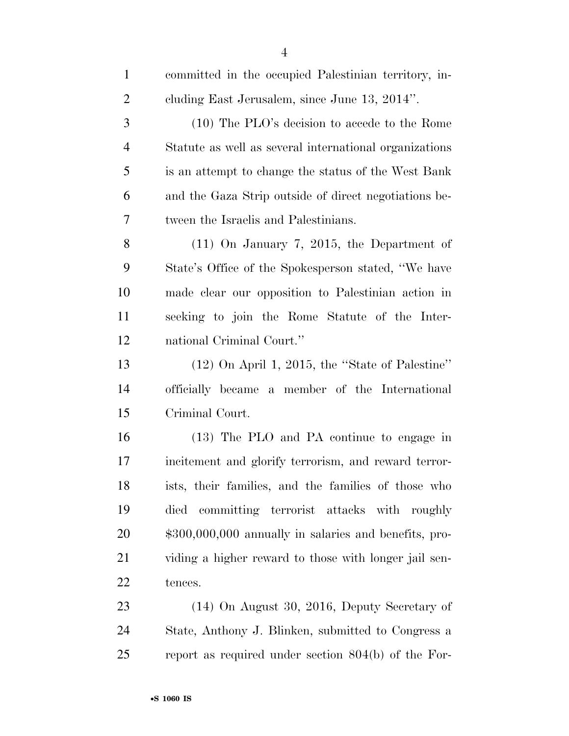| $\mathbf{1}$   | committed in the occupied Palestinian territory, in-   |
|----------------|--------------------------------------------------------|
| $\overline{c}$ | cluding East Jerusalem, since June 13, 2014".          |
| 3              | (10) The PLO's decision to accede to the Rome          |
| $\overline{4}$ | Statute as well as several international organizations |
| 5              | is an attempt to change the status of the West Bank    |
| 6              | and the Gaza Strip outside of direct negotiations be-  |
| $\tau$         | tween the Israelis and Palestinians.                   |
| 8              | $(11)$ On January 7, 2015, the Department of           |
| 9              | State's Office of the Spokesperson stated, "We have    |
| 10             | made clear our opposition to Palestinian action in     |
| 11             | seeking to join the Rome Statute of the Inter-         |
| 12             | national Criminal Court."                              |
| 13             | $(12)$ On April 1, 2015, the "State of Palestine"      |
| 14             | officially became a member of the International        |
| 15             | Criminal Court.                                        |
| 16             | (13) The PLO and PA continue to engage in              |
| 17             | incitement and glorify terrorism, and reward terror-   |
| 18             | ists, their families, and the families of those who    |
| 19             | died committing terrorist attacks with roughly         |
| 20             | $$300,000,000$ annually in salaries and benefits, pro- |
| 21             | viding a higher reward to those with longer jail sen-  |
| 22             | tences.                                                |
| 23             | $(14)$ On August 30, 2016, Deputy Secretary of         |
| 24             | State, Anthony J. Blinken, submitted to Congress a     |
| 25             | report as required under section $804(b)$ of the For-  |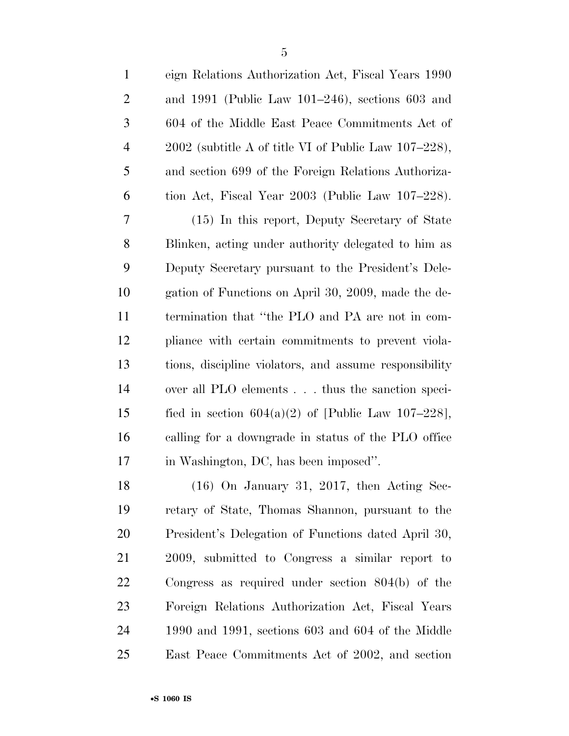| 1              | eign Relations Authorization Act, Fiscal Years 1990    |
|----------------|--------------------------------------------------------|
| $\overline{2}$ | and $1991$ (Public Law $101-246$ ), sections 603 and   |
| 3              | 604 of the Middle East Peace Commitments Act of        |
| $\overline{4}$ | $2002$ (subtitle A of title VI of Public Law 107–228), |
| 5              | and section 699 of the Foreign Relations Authoriza-    |
| 6              | tion Act, Fiscal Year 2003 (Public Law 107–228).       |
| 7              | (15) In this report, Deputy Secretary of State         |
| 8              | Blinken, acting under authority delegated to him as    |
| 9              | Deputy Secretary pursuant to the President's Dele-     |
| 10             | gation of Functions on April 30, 2009, made the de-    |
| 11             | termination that "the PLO and PA are not in com-       |
| 12             | pliance with certain commitments to prevent viola-     |
| 13             | tions, discipline violators, and assume responsibility |
| 14             | over all PLO elements thus the sanction speci-         |
| 15             | fied in section $604(a)(2)$ of [Public Law 107-228],   |
| 16             | calling for a downgrade in status of the PLO office    |
| 17             | in Washington, DC, has been imposed".                  |
| 18             | $(16)$ On January 31, 2017, then Acting Sec-           |
| 19             | retary of State, Thomas Shannon, pursuant to the       |
| 20             | President's Delegation of Functions dated April 30,    |
| 21             | 2009, submitted to Congress a similar report to        |
| <u>22</u>      | Congress as required under section $804(b)$ of the     |
| 23             | Foreign Relations Authorization Act, Fiscal Years      |
| 24             | 1990 and 1991, sections $603$ and $604$ of the Middle  |
| 25             | East Peace Commitments Act of 2002, and section        |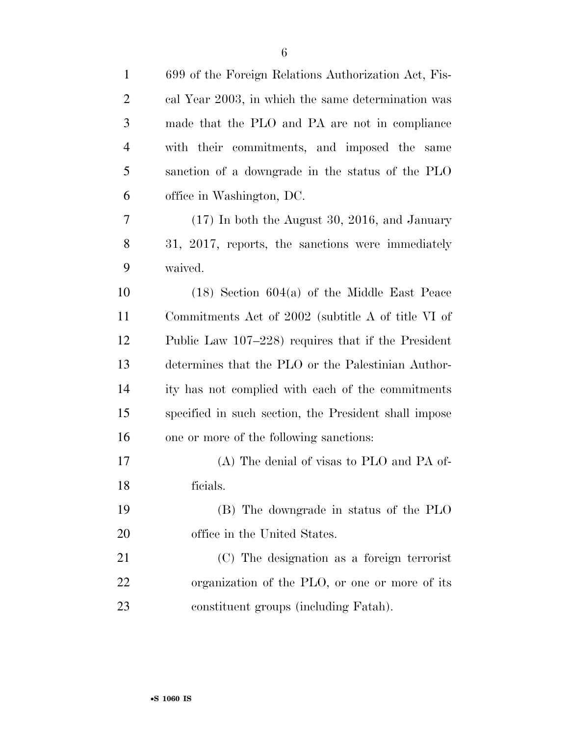| $\mathbf{1}$   | 699 of the Foreign Relations Authorization Act, Fis-  |
|----------------|-------------------------------------------------------|
| $\overline{2}$ | cal Year 2003, in which the same determination was    |
| 3              | made that the PLO and PA are not in compliance        |
| $\overline{4}$ | with their commitments, and imposed the same          |
| 5              | sanction of a downgrade in the status of the PLO      |
| 6              | office in Washington, DC.                             |
| 7              | $(17)$ In both the August 30, 2016, and January       |
| 8              | 31, 2017, reports, the sanctions were immediately     |
| 9              | waived.                                               |
| 10             | $(18)$ Section 604(a) of the Middle East Peace        |
| 11             | Commitments Act of 2002 (subtitle A of title VI of    |
| 12             | Public Law 107–228) requires that if the President    |
| 13             | determines that the PLO or the Palestinian Author-    |
| 14             | ity has not complied with each of the commitments     |
| 15             | specified in such section, the President shall impose |
| 16             | one or more of the following sanctions:               |
| 17             | (A) The denial of visas to PLO and PA of-             |
| 18             | ficials.                                              |
| 19             | (B) The downgrade in status of the PLO                |
| 20             | office in the United States.                          |
| 21             | (C) The designation as a foreign terrorist            |
| 22             | organization of the PLO, or one or more of its        |
| 23             | constituent groups (including Fatah).                 |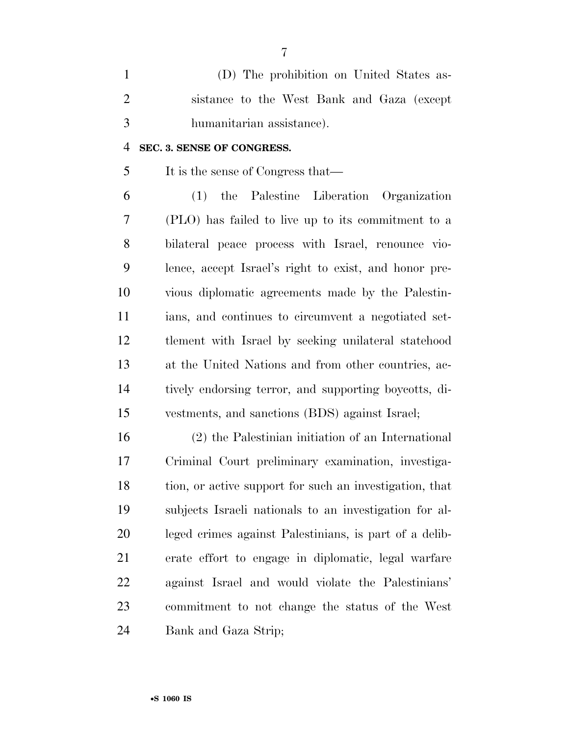(D) The prohibition on United States as- sistance to the West Bank and Gaza (except humanitarian assistance).

#### **SEC. 3. SENSE OF CONGRESS.**

It is the sense of Congress that—

 (1) the Palestine Liberation Organization (PLO) has failed to live up to its commitment to a bilateral peace process with Israel, renounce vio- lence, accept Israel's right to exist, and honor pre- vious diplomatic agreements made by the Palestin- ians, and continues to circumvent a negotiated set- tlement with Israel by seeking unilateral statehood at the United Nations and from other countries, ac- tively endorsing terror, and supporting boycotts, di-vestments, and sanctions (BDS) against Israel;

 (2) the Palestinian initiation of an International Criminal Court preliminary examination, investiga- tion, or active support for such an investigation, that subjects Israeli nationals to an investigation for al- leged crimes against Palestinians, is part of a delib- erate effort to engage in diplomatic, legal warfare against Israel and would violate the Palestinians' commitment to not change the status of the West Bank and Gaza Strip;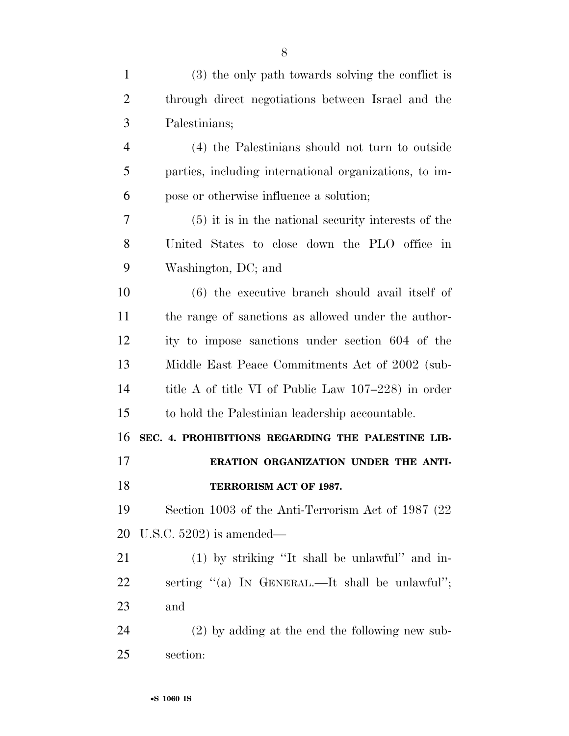| $\mathbf{1}$   | (3) the only path towards solving the conflict is      |
|----------------|--------------------------------------------------------|
| $\overline{2}$ | through direct negotiations between Israel and the     |
| 3              | Palestinians;                                          |
| $\overline{4}$ | (4) the Palestinians should not turn to outside        |
| 5              | parties, including international organizations, to im- |
| 6              | pose or otherwise influence a solution;                |
| 7              | (5) it is in the national security interests of the    |
| 8              | United States to close down the PLO office in          |
| 9              | Washington, DC; and                                    |
| 10             | (6) the executive branch should avail itself of        |
| 11             | the range of sanctions as allowed under the author-    |
| 12             | ity to impose sanctions under section 604 of the       |
| 13             | Middle East Peace Commitments Act of 2002 (sub-        |
| 14             | title A of title VI of Public Law 107–228) in order    |
| 15             | to hold the Palestinian leadership accountable.        |
| 16             | SEC. 4. PROHIBITIONS REGARDING THE PALESTINE LIB-      |
| 17             | ERATION ORGANIZATION UNDER THE ANTI-                   |
| 18             | TERRORISM ACT OF 1987.                                 |
|                |                                                        |

 Section 1003 of the Anti-Terrorism Act of 1987 (22 U.S.C. 5202) is amended—

 (1) by striking ''It shall be unlawful'' and in- serting ''(a) IN GENERAL.—It shall be unlawful''; and

 (2) by adding at the end the following new sub-section: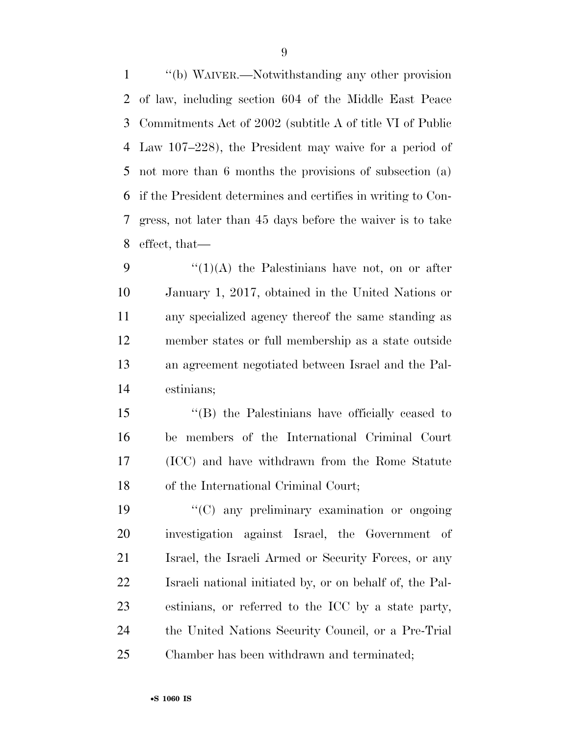''(b) WAIVER.—Notwithstanding any other provision of law, including section 604 of the Middle East Peace Commitments Act of 2002 (subtitle A of title VI of Public Law 107–228), the President may waive for a period of not more than 6 months the provisions of subsection (a) if the President determines and certifies in writing to Con- gress, not later than 45 days before the waiver is to take effect, that—

 $\frac{1}{(1)(A)}$  the Palestinians have not, on or after January 1, 2017, obtained in the United Nations or any specialized agency thereof the same standing as member states or full membership as a state outside an agreement negotiated between Israel and the Pal-estinians;

 ''(B) the Palestinians have officially ceased to be members of the International Criminal Court (ICC) and have withdrawn from the Rome Statute of the International Criminal Court;

 $\langle ^{\prime}(C)$  any preliminary examination or ongoing investigation against Israel, the Government of Israel, the Israeli Armed or Security Forces, or any Israeli national initiated by, or on behalf of, the Pal- estinians, or referred to the ICC by a state party, the United Nations Security Council, or a Pre-Trial Chamber has been withdrawn and terminated;